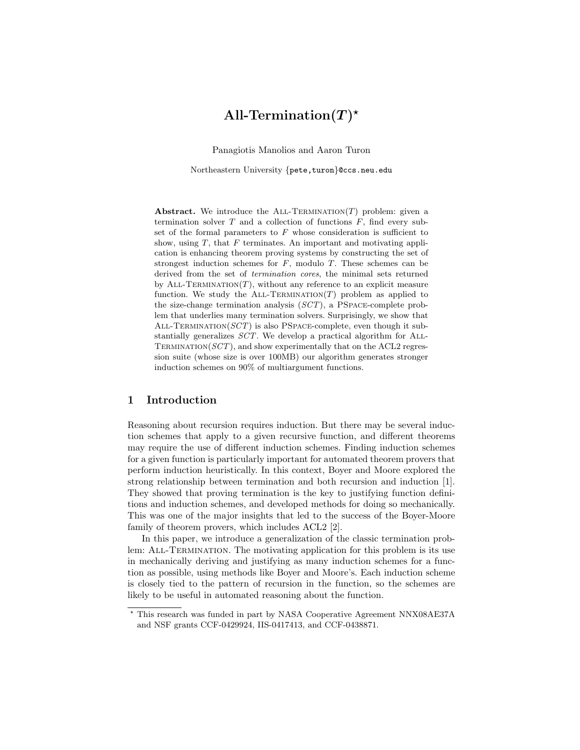# All-Termination $(T)^*$

Panagiotis Manolios and Aaron Turon

Northeastern University {pete,turon}@ccs.neu.edu

Abstract. We introduce the ALL-TERMINATION(T) problem: given a termination solver  $T$  and a collection of functions  $F$ , find every subset of the formal parameters to  $F$  whose consideration is sufficient to show, using  $T$ , that  $F$  terminates. An important and motivating application is enhancing theorem proving systems by constructing the set of strongest induction schemes for  $F$ , modulo  $T$ . These schemes can be derived from the set of termination cores, the minimal sets returned by ALL-TERMINATION(T), without any reference to an explicit measure function. We study the ALL-TERMINATION(T) problem as applied to the size-change termination analysis (SCT), a PSpace-complete problem that underlies many termination solvers. Surprisingly, we show that ALL-TERMINATION( $SCT$ ) is also PSPACE-complete, even though it substantially generalizes  $SCT$ . We develop a practical algorithm for ALL-TERMINATION( $SCT$ ), and show experimentally that on the ACL2 regression suite (whose size is over 100MB) our algorithm generates stronger induction schemes on 90% of multiargument functions.

## 1 Introduction

Reasoning about recursion requires induction. But there may be several induction schemes that apply to a given recursive function, and different theorems may require the use of different induction schemes. Finding induction schemes for a given function is particularly important for automated theorem provers that perform induction heuristically. In this context, Boyer and Moore explored the strong relationship between termination and both recursion and induction [1]. They showed that proving termination is the key to justifying function definitions and induction schemes, and developed methods for doing so mechanically. This was one of the major insights that led to the success of the Boyer-Moore family of theorem provers, which includes ACL2 [2].

In this paper, we introduce a generalization of the classic termination problem: All-Termination. The motivating application for this problem is its use in mechanically deriving and justifying as many induction schemes for a function as possible, using methods like Boyer and Moore's. Each induction scheme is closely tied to the pattern of recursion in the function, so the schemes are likely to be useful in automated reasoning about the function.

<sup>?</sup> This research was funded in part by NASA Cooperative Agreement NNX08AE37A and NSF grants CCF-0429924, IIS-0417413, and CCF-0438871.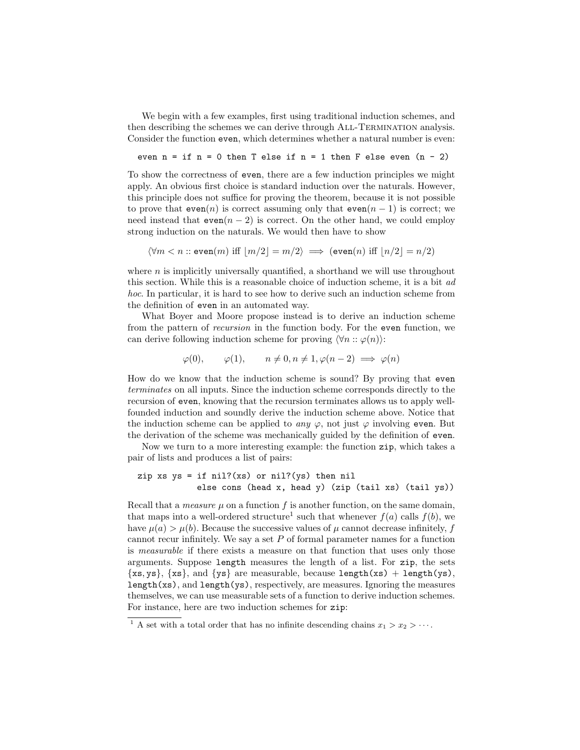We begin with a few examples, first using traditional induction schemes, and then describing the schemes we can derive through All-Termination analysis. Consider the function even, which determines whether a natural number is even:

```
even n = if n = 0 then T else if n = 1 then F else even (n - 2)
```
To show the correctness of even, there are a few induction principles we might apply. An obvious first choice is standard induction over the naturals. However, this principle does not suffice for proving the theorem, because it is not possible to prove that even(n) is correct assuming only that even(n – 1) is correct; we need instead that  $even(n-2)$  is correct. On the other hand, we could employ strong induction on the naturals. We would then have to show

 $\langle \forall m \lt n :: \text{even}(m) \text{ iff } |m/2| = m/2 \rangle \implies (\text{even}(n) \text{ iff } |n/2| = n/2)$ 

where  $n$  is implicitly universally quantified, a shorthand we will use throughout this section. While this is a reasonable choice of induction scheme, it is a bit ad hoc. In particular, it is hard to see how to derive such an induction scheme from the definition of even in an automated way.

What Boyer and Moore propose instead is to derive an induction scheme from the pattern of recursion in the function body. For the even function, we can derive following induction scheme for proving  $\langle \forall n : \varphi(n) \rangle$ :

$$
\varphi(0), \qquad \varphi(1), \qquad n \neq 0, n \neq 1, \varphi(n-2) \implies \varphi(n)
$$

How do we know that the induction scheme is sound? By proving that even terminates on all inputs. Since the induction scheme corresponds directly to the recursion of even, knowing that the recursion terminates allows us to apply wellfounded induction and soundly derive the induction scheme above. Notice that the induction scheme can be applied to *any*  $\varphi$ , not just  $\varphi$  involving even. But the derivation of the scheme was mechanically guided by the definition of even.

Now we turn to a more interesting example: the function zip, which takes a pair of lists and produces a list of pairs:

```
zip xs ys = if nil?(xs) or nil?(ys) then nilelse cons (head x, head y) (zip (tail xs) (tail ys))
```
Recall that a *measure*  $\mu$  on a function  $f$  is another function, on the same domain, that maps into a well-ordered structure<sup>1</sup> such that whenever  $f(a)$  calls  $f(b)$ , we have  $\mu(a) > \mu(b)$ . Because the successive values of  $\mu$  cannot decrease infinitely, f cannot recur infinitely. We say a set  $P$  of formal parameter names for a function is measurable if there exists a measure on that function that uses only those arguments. Suppose length measures the length of a list. For zip, the sets  $\{xs, ys\}, \{xs\},$  and  $\{ys\}$  are measurable, because length(xs) + length(ys), length(xs), and length(ys), respectively, are measures. Ignoring the measures themselves, we can use measurable sets of a function to derive induction schemes. For instance, here are two induction schemes for zip:

<sup>&</sup>lt;sup>1</sup> A set with a total order that has no infinite descending chains  $x_1 > x_2 > \cdots$ .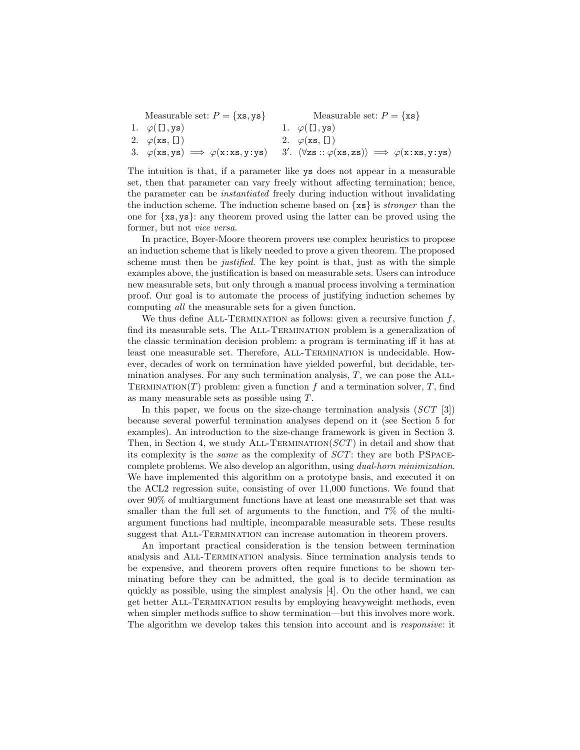| Measurable set: $P = \{xs, ys\}$ | Measurable set: $P = \{xs\}$                                                                                                                     |
|----------------------------------|--------------------------------------------------------------------------------------------------------------------------------------------------|
| 1. $\varphi$ ([], ys)            | 1. $\varphi$ ([], ys)                                                                                                                            |
| 2. $\varphi$ (xs, [])            | 2. $\varphi$ (xs, [])                                                                                                                            |
|                                  | 3. $\varphi(x, y) \implies \varphi(x, x, y, y) = 3'$ . $\langle \forall z \mathbf{s} : \varphi(x, z, z) \rangle \implies \varphi(x, x, y, y, z)$ |

The intuition is that, if a parameter like ys does not appear in a measurable set, then that parameter can vary freely without affecting termination; hence, the parameter can be instantiated freely during induction without invalidating the induction scheme. The induction scheme based on  $\{xs\}$  is *stronger* than the one for  $\{xs, ys\}$ : any theorem proved using the latter can be proved using the former, but not vice versa.

In practice, Boyer-Moore theorem provers use complex heuristics to propose an induction scheme that is likely needed to prove a given theorem. The proposed scheme must then be *justified*. The key point is that, just as with the simple examples above, the justification is based on measurable sets. Users can introduce new measurable sets, but only through a manual process involving a termination proof. Our goal is to automate the process of justifying induction schemes by computing all the measurable sets for a given function.

We thus define ALL-TERMINATION as follows: given a recursive function  $f$ , find its measurable sets. The All-Termination problem is a generalization of the classic termination decision problem: a program is terminating iff it has at least one measurable set. Therefore, All-Termination is undecidable. However, decades of work on termination have yielded powerful, but decidable, termination analyses. For any such termination analysis,  $T$ , we can pose the ALL-TERMINATION(T) problem: given a function f and a termination solver, T, find as many measurable sets as possible using T.

In this paper, we focus on the size-change termination analysis  $(SCT \, [3])$ because several powerful termination analyses depend on it (see Section 5 for examples). An introduction to the size-change framework is given in Section 3. Then, in Section 4, we study ALL-TERMINATION( $SCT$ ) in detail and show that its complexity is the same as the complexity of SCT: they are both PSpacecomplete problems. We also develop an algorithm, using dual-horn minimization. We have implemented this algorithm on a prototype basis, and executed it on the ACL2 regression suite, consisting of over 11,000 functions. We found that over 90% of multiargument functions have at least one measurable set that was smaller than the full set of arguments to the function, and 7% of the multiargument functions had multiple, incomparable measurable sets. These results suggest that All-Termination can increase automation in theorem provers.

An important practical consideration is the tension between termination analysis and All-Termination analysis. Since termination analysis tends to be expensive, and theorem provers often require functions to be shown terminating before they can be admitted, the goal is to decide termination as quickly as possible, using the simplest analysis [4]. On the other hand, we can get better All-Termination results by employing heavyweight methods, even when simpler methods suffice to show termination—but this involves more work. The algorithm we develop takes this tension into account and is responsive: it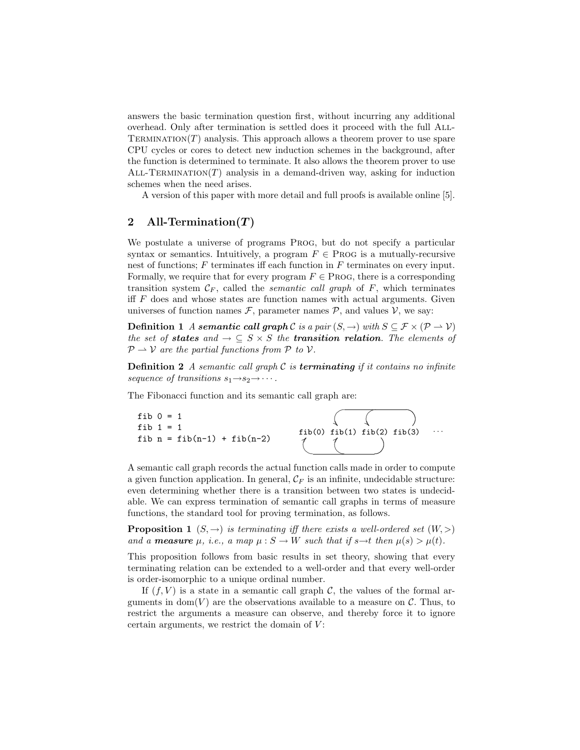answers the basic termination question first, without incurring any additional overhead. Only after termination is settled does it proceed with the full All-TERMINATION(T) analysis. This approach allows a theorem prover to use spare CPU cycles or cores to detect new induction schemes in the background, after the function is determined to terminate. It also allows the theorem prover to use ALL-TERMINATION(T) analysis in a demand-driven way, asking for induction schemes when the need arises.

A version of this paper with more detail and full proofs is available online [5].

## 2 All-Termination $(T)$

We postulate a universe of programs Prog, but do not specify a particular syntax or semantics. Intuitively, a program  $F \in \text{Prog}$  is a mutually-recursive nest of functions;  $F$  terminates iff each function in  $F$  terminates on every input. Formally, we require that for every program  $F \in \text{PROG}$ , there is a corresponding transition system  $\mathcal{C}_F$ , called the *semantic call graph* of  $F$ , which terminates iff F does and whose states are function names with actual arguments. Given universes of function names  $\mathcal{F}$ , parameter names  $\mathcal{P}$ , and values  $\mathcal{V}$ , we say:

**Definition 1** A semantic call graph C is a pair  $(S, \rightarrow)$  with  $S \subseteq \mathcal{F} \times (\mathcal{P} \rightarrow \mathcal{V})$ the set of states and  $\rightarrow \subseteq S \times S$  the transition relation. The elements of  $\mathcal{P} \rightharpoonup \mathcal{V}$  are the partial functions from  $\mathcal{P}$  to  $\mathcal{V}$ .

**Definition 2** A semantic call graph  $\mathcal C$  is **terminating** if it contains no infinite sequence of transitions  $s_1 \rightarrow s_2 \rightarrow \cdots$ .

The Fibonacci function and its semantic call graph are:



A semantic call graph records the actual function calls made in order to compute a given function application. In general,  $\mathcal{C}_F$  is an infinite, undecidable structure: even determining whether there is a transition between two states is undecidable. We can express termination of semantic call graphs in terms of measure functions, the standard tool for proving termination, as follows.

**Proposition 1**  $(S, \rightarrow)$  is terminating iff there exists a well-ordered set  $(W, >)$ and a **measure**  $\mu$ , i.e., a map  $\mu$  :  $S \to W$  such that if  $s \to t$  then  $\mu(s) > \mu(t)$ .

This proposition follows from basic results in set theory, showing that every terminating relation can be extended to a well-order and that every well-order is order-isomorphic to a unique ordinal number.

If  $(f, V)$  is a state in a semantic call graph C, the values of the formal arguments in dom(V) are the observations available to a measure on  $\mathcal{C}$ . Thus, to restrict the arguments a measure can observe, and thereby force it to ignore certain arguments, we restrict the domain of  $V$ :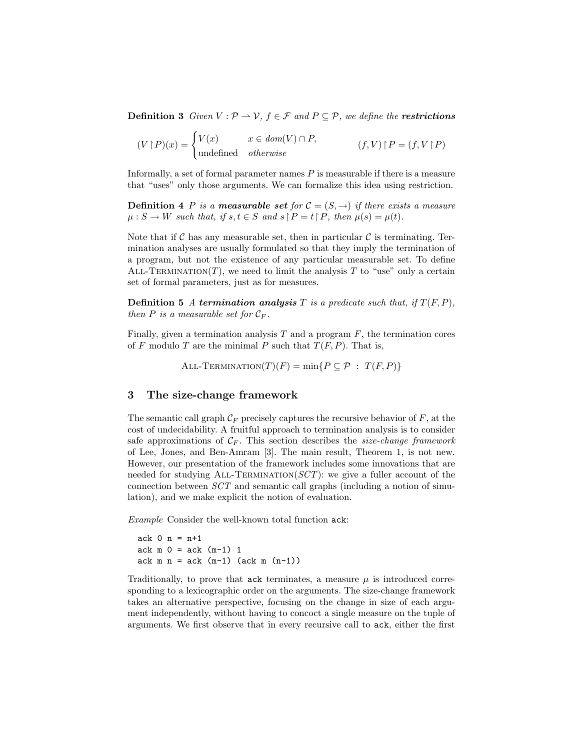**Definition 3** Given  $V : \mathcal{P} \to \mathcal{V}$ ,  $f \in \mathcal{F}$  and  $P \subseteq \mathcal{P}$ , we define the **restrictions** 

$$
(V\upharpoonright P)(x) = \begin{cases} V(x) & x \in dom(V) \cap P, \\ \text{undefined} & otherwise \end{cases} \qquad (f, V)\upharpoonright P = (f, V\upharpoonright P)
$$

Informally, a set of formal parameter names  $P$  is measurable if there is a measure that "uses" only those arguments. We can formalize this idea using restriction.

**Definition 4** P is a **measurable set** for  $C = (S, \rightarrow)$  if there exists a measure  $\mu: S \to W$  such that, if  $s, t \in S$  and  $s \upharpoonright P = t \upharpoonright P$ , then  $\mu(s) = \mu(t)$ .

Note that if C has any measurable set, then in particular C is terminating. Termination analyses are usually formulated so that they imply the termination of a program, but not the existence of any particular measurable set. To define ALL-TERMINATION(T), we need to limit the analysis T to "use" only a certain set of formal parameters, just as for measures.

**Definition 5** A termination analysis T is a predicate such that, if  $T(F, P)$ , then P is a measurable set for  $\mathcal{C}_F$ .

Finally, given a termination analysis  $T$  and a program  $F$ , the termination cores of F modulo T are the minimal P such that  $T(F, P)$ . That is,

$$
ALL-TERMINATION(T)(F) = min\{P \subseteq P : T(F, P)\}
$$

# 3 The size-change framework

The semantic call graph  $C_F$  precisely captures the recursive behavior of F, at the cost of undecidability. A fruitful approach to termination analysis is to consider safe approximations of  $C_F$ . This section describes the size-change framework of Lee, Jones, and Ben-Amram [3]. The main result, Theorem 1, is not new. However, our presentation of the framework includes some innovations that are needed for studying ALL-TERMINATION( $SCT$ ): we give a fuller account of the connection between SCT and semantic call graphs (including a notion of simulation), and we make explicit the notion of evaluation.

Example Consider the well-known total function ack:

ack  $0 n = n+1$  $ack m 0 = ack (m-1) 1$  $ack m n = ack (m-1) (ack m (n-1))$ 

Traditionally, to prove that ack terminates, a measure  $\mu$  is introduced corresponding to a lexicographic order on the arguments. The size-change framework takes an alternative perspective, focusing on the change in size of each argument independently, without having to concoct a single measure on the tuple of arguments. We first observe that in every recursive call to ack, either the first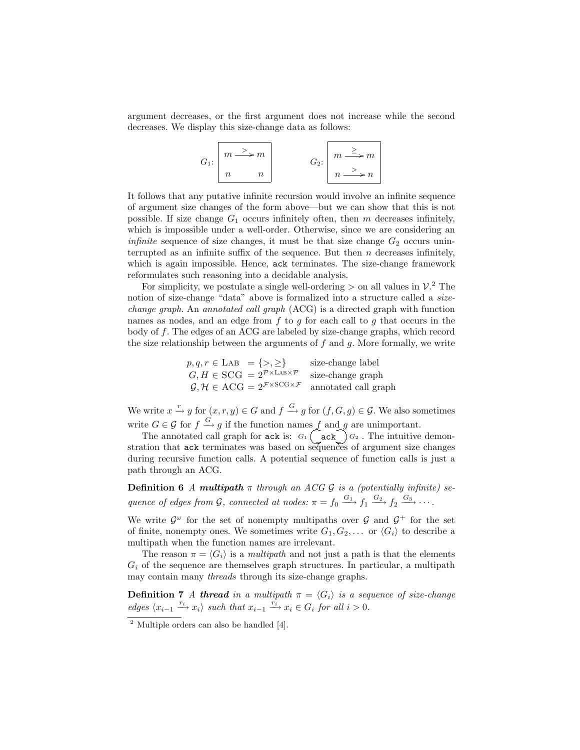argument decreases, or the first argument does not increase while the second decreases. We display this size-change data as follows:

| $G_1$ : | $\rightarrow m$ | $G_2$ : | $\Rightarrow$ m          |
|---------|-----------------|---------|--------------------------|
|         | Ίł              |         | $\overline{\phantom{0}}$ |

It follows that any putative infinite recursion would involve an infinite sequence of argument size changes of the form above—but we can show that this is not possible. If size change  $G_1$  occurs infinitely often, then m decreases infinitely, which is impossible under a well-order. Otherwise, since we are considering an *infinite* sequence of size changes, it must be that size change  $G_2$  occurs uninterrupted as an infinite suffix of the sequence. But then  $n$  decreases infinitely, which is again impossible. Hence, ack terminates. The size-change framework reformulates such reasoning into a decidable analysis.

For simplicity, we postulate a single well-ordering  $>$  on all values in  $V^2$ . The notion of size-change "data" above is formalized into a structure called a sizechange graph. An annotated call graph (ACG) is a directed graph with function names as nodes, and an edge from  $f$  to  $g$  for each call to  $g$  that occurs in the body of f. The edges of an ACG are labeled by size-change graphs, which record the size relationship between the arguments of  $f$  and  $g$ . More formally, we write

| $p, q, r \in \text{LAB} = \{>, \geq\}$                                                           | size-change label    |
|--------------------------------------------------------------------------------------------------|----------------------|
| $G, H \in \text{SCG} = 2^{\mathcal{P} \times \text{LAB} \times \mathcal{P}}$                     | size-change graph    |
| $\mathcal{G}, \mathcal{H} \in \text{ACG} = 2^{\mathcal{F} \times \text{SCG} \times \mathcal{F}}$ | annotated call graph |

We write  $x \stackrel{r}{\rightarrow} y$  for  $(x, r, y) \in G$  and  $f \stackrel{G}{\rightarrow} g$  for  $(f, G, g) \in \mathcal{G}$ . We also sometimes write  $G \in \mathcal{G}$  for  $f \stackrel{G}{\longrightarrow} g$  if the function names f and g are unimportant.

The annotated call graph for ack is:  $G_1 \begin{pmatrix} ack \end{pmatrix} G_2$ . The intuitive demonstration that ack terminates was based on sequences of argument size changes during recursive function calls. A potential sequence of function calls is just a path through an ACG.

**Definition 6** A multipath  $\pi$  through an ACG G is a (potentially infinite) sequence of edges from G, connected at nodes:  $\pi = f_0 \xrightarrow{G_1} f_1 \xrightarrow{G_2} f_2 \xrightarrow{G_3} \cdots$ .

We write  $\mathcal{G}^{\omega}$  for the set of nonempty multipaths over  $\mathcal{G}$  and  $\mathcal{G}^+$  for the set of finite, nonempty ones. We sometimes write  $G_1, G_2, \ldots$  or  $\langle G_i \rangle$  to describe a multipath when the function names are irrelevant.

The reason  $\pi = \langle G_i \rangle$  is a multipath and not just a path is that the elements  $G_i$  of the sequence are themselves graph structures. In particular, a multipath may contain many threads through its size-change graphs.

**Definition 7** A thread in a multipath  $\pi = \langle G_i \rangle$  is a sequence of size-change edges  $\langle x_{i-1} \xrightarrow{r_i} x_i \rangle$  such that  $x_{i-1} \xrightarrow{r_i} x_i \in G_i$  for all  $i > 0$ .

<sup>2</sup> Multiple orders can also be handled [4].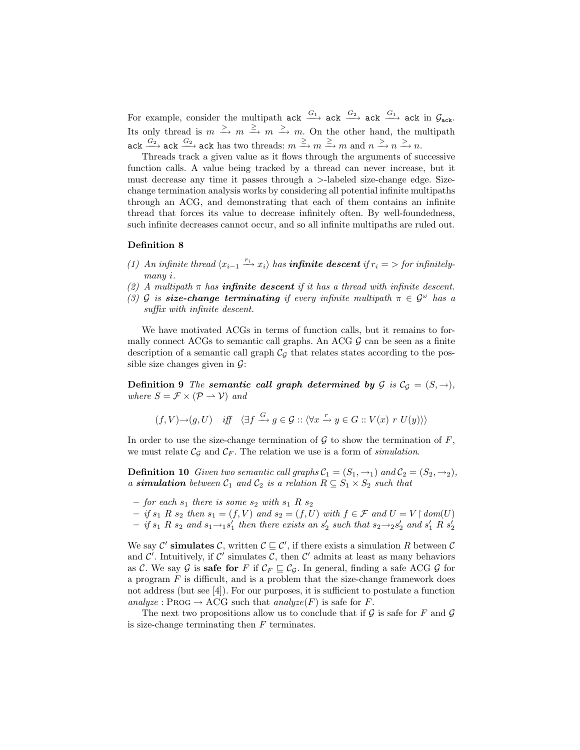For example, consider the multipath ack  $\frac{G_1}{\longrightarrow}$  ack  $\frac{G_2}{\longrightarrow}$  ack in  $\mathcal{G}_{\text{ack}}$ . Its only thread is  $m \geq m \geq m$ ,  $\geq m$ . On the other hand, the multipath  $\det \frac{G_2}{\longrightarrow} \text{ack} \xrightarrow{G_2} \text{ack} \text{ has two threads: } m \xrightarrow{\geq} m \xrightarrow{\geq} m \text{ and } n \xrightarrow{\geq} n \xrightarrow{\geq} n.$ 

Threads track a given value as it flows through the arguments of successive function calls. A value being tracked by a thread can never increase, but it must decrease any time it passes through a >-labeled size-change edge. Sizechange termination analysis works by considering all potential infinite multipaths through an ACG, and demonstrating that each of them contains an infinite thread that forces its value to decrease infinitely often. By well-foundedness, such infinite decreases cannot occur, and so all infinite multipaths are ruled out.

#### Definition 8

- (1) An infinite thread  $\langle x_{i-1} \stackrel{r_i}{\longrightarrow} x_i \rangle$  has **infinite descent** if  $r_i = \frac{1}{r_i}$  for infinitelymany i.
- (2) A multipath  $\pi$  has **infinite descent** if it has a thread with infinite descent.
- (3) G is size-change terminating if every infinite multipath  $\pi \in \mathcal{G}^{\omega}$  has a suffix with infinite descent.

We have motivated ACGs in terms of function calls, but it remains to formally connect ACGs to semantic call graphs. An ACG  $\mathcal G$  can be seen as a finite description of a semantic call graph  $C<sub>G</sub>$  that relates states according to the possible size changes given in  $\mathcal{G}$ :

**Definition 9** The semantic call graph determined by G is  $C_g = (S, \rightarrow)$ , where  $S = \mathcal{F} \times (\mathcal{P} \rightarrow \mathcal{V})$  and

$$
(f, V) \rightarrow (g, U)
$$
 iff  $\langle \exists f \stackrel{G}{\rightarrow} g \in \mathcal{G} : \langle \forall x \stackrel{r}{\rightarrow} y \in G : V(x) \cap U(y) \rangle \rangle$ 

In order to use the size-change termination of  $G$  to show the termination of  $F$ , we must relate  $\mathcal{C}_{\mathcal{G}}$  and  $\mathcal{C}_{F}$ . The relation we use is a form of *simulation*.

**Definition 10** Given two semantic call graphs  $C_1 = (S_1, \rightarrow_1)$  and  $C_2 = (S_2, \rightarrow_2)$ , a simulation between  $C_1$  and  $C_2$  is a relation  $R \subseteq S_1 \times S_2$  such that

- for each  $s_1$  there is some  $s_2$  with  $s_1$  R  $s_2$
- $−$  if s<sub>1</sub> R s<sub>2</sub> then s<sub>1</sub> = (f, V) and s<sub>2</sub> = (f, U) with  $f ∈ F$  and  $U = V \upharpoonright dom(U)$
- $-$  if s<sub>1</sub> R s<sub>2</sub> and s<sub>1</sub>→<sub>1</sub>s'<sub>1</sub> then there exists an s'<sub>2</sub> such that s<sub>2</sub>→<sub>2</sub>s'<sub>2</sub> and s'<sub>1</sub> R s'<sub>2</sub>

We say  $\mathcal{C}'$  simulates  $\mathcal{C}$ , written  $\mathcal{C} \sqsubseteq \mathcal{C}'$ , if there exists a simulation R between  $\mathcal{C}$ and  $\mathcal{C}'$ . Intuitively, if  $\mathcal{C}'$  simulates  $\mathcal{C}$ , then  $\mathcal{C}'$  admits at least as many behaviors as C. We say G is safe for F if  $\mathcal{C}_F \sqsubseteq \mathcal{C}_G$ . In general, finding a safe ACG G for a program  $F$  is difficult, and is a problem that the size-change framework does not address (but see [4]). For our purposes, it is sufficient to postulate a function analyze : PROG  $\rightarrow$  ACG such that analyze(F) is safe for F.

The next two propositions allow us to conclude that if  $\mathcal G$  is safe for F and  $\mathcal G$ is size-change terminating then  $F$  terminates.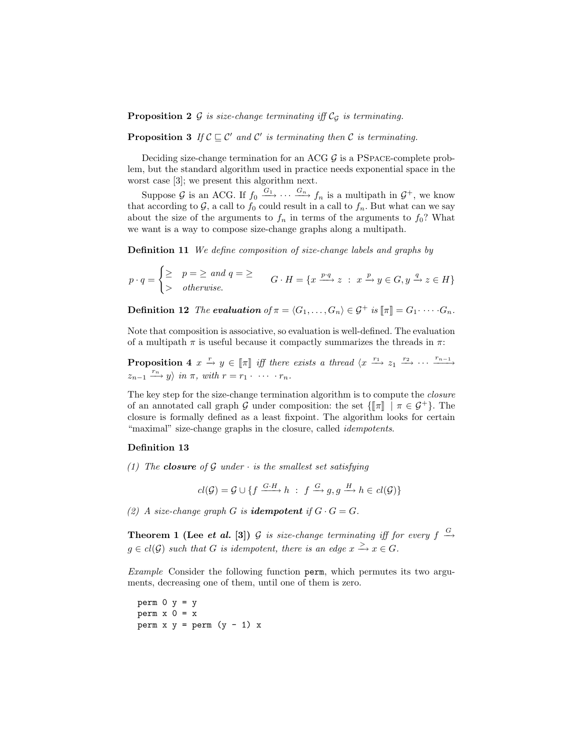**Proposition 2** G is size-change terminating iff  $\mathcal{C}_G$  is terminating.

**Proposition 3** If  $C \sqsubseteq C'$  and C' is terminating then C is terminating.

Deciding size-change termination for an ACG  $\mathcal G$  is a PSPACE-complete problem, but the standard algorithm used in practice needs exponential space in the worst case [3]; we present this algorithm next.

Suppose G is an ACG. If  $f_0 \xrightarrow{G_1} \cdots \xrightarrow{G_n} f_n$  is a multipath in  $\mathcal{G}^+$ , we know that according to  $\mathcal{G}$ , a call to  $f_0$  could result in a call to  $f_n$ . But what can we say about the size of the arguments to  $f_n$  in terms of the arguments to  $f_0$ ? What we want is a way to compose size-change graphs along a multipath.

Definition 11 We define composition of size-change labels and graphs by

$$
p \cdot q = \begin{cases} \ge & p = \ge & \text{and } q = \ge \\ & \text{otherwise.} \end{cases} \quad G \cdot H = \{ x \xrightarrow{p \cdot q} z \; : \; x \xrightarrow{p} y \in G, y \xrightarrow{q} z \in H \}
$$

**Definition 12** The evaluation of  $\pi = \langle G_1, \ldots, G_n \rangle \in \mathcal{G}^+$  is  $\|\pi\| = G_1 \cdots G_n$ .

Note that composition is associative, so evaluation is well-defined. The evaluation of a multipath  $\pi$  is useful because it compactly summarizes the threads in  $\pi$ :

**Proposition 4**  $x \stackrel{r}{\rightarrow} y \in [\![\pi]\!]$  iff there exists a thread  $\langle x \stackrel{r_1}{\rightarrow} z_1 \stackrel{r_2}{\rightarrow} \cdots \stackrel{r_{n-1}}{\longrightarrow}$  $z_{n-1} \xrightarrow{r_n} y \rangle$  in  $\pi$ , with  $r = r_1 \cdot \cdots \cdot r_n$ .

The key step for the size-change termination algorithm is to compute the *closure* of an annotated call graph G under composition: the set  $\{\Vert \pi \Vert \mid \pi \in \mathcal{G}^+\}$ . The closure is formally defined as a least fixpoint. The algorithm looks for certain "maximal" size-change graphs in the closure, called *idempotents*.

#### Definition 13

(1) The **closure** of G under  $\cdot$  is the smallest set satisfying

$$
cl(G) = \mathcal{G} \cup \{ f \xrightarrow{G \cdot H} h : f \xrightarrow{G} g, g \xrightarrow{H} h \in cl(G) \}
$$

(2) A size-change graph G is **idempotent** if  $G \cdot G = G$ .

**Theorem 1 (Lee et al.** [3]) G is size-change terminating iff for every  $f \stackrel{G}{\rightarrow}$  $g \in cl(\mathcal{G})$  such that G is idempotent, there is an edge  $x \stackrel{\text{>}}{\rightarrow} x \in G$ .

Example Consider the following function perm, which permutes its two arguments, decreasing one of them, until one of them is zero.

perm  $0 y = y$ perm  $x = 0 = x$ perm  $x y = \text{perm} (y - 1) x$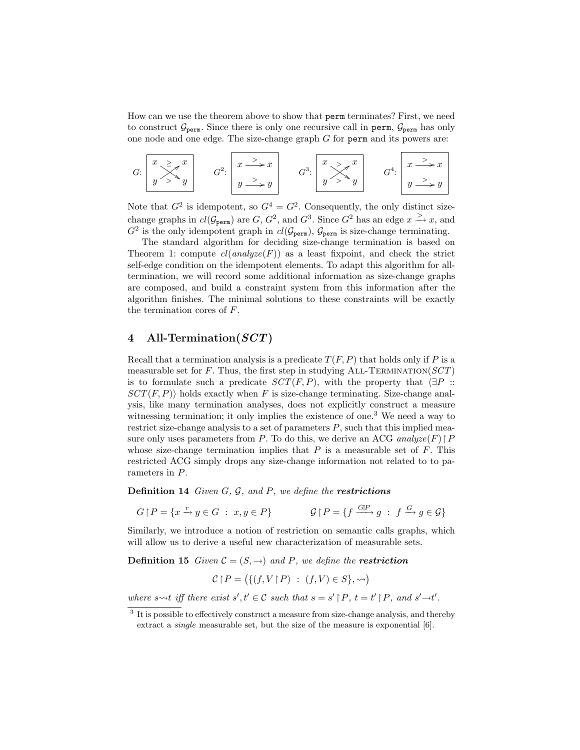How can we use the theorem above to show that perm terminates? First, we need to construct  $\mathcal{G}_{\text{perm}}$ . Since there is only one recursive call in perm,  $\mathcal{G}_{\text{perm}}$  has only one node and one edge. The size-change graph  $G$  for  $perm$  and its powers are:

$$
G: \begin{bmatrix} x & & & x \\ y & & & y \end{bmatrix} \qquad G^2: \begin{bmatrix} x & & & x \\ y & & & y \\ y & & & y \end{bmatrix} \qquad G^3: \begin{bmatrix} x & & x \\ y & & & y \\ y & & & y \end{bmatrix} \qquad G^4: \begin{bmatrix} x & & & x \\ y & & & & x \\ y & & & & y \end{bmatrix}
$$

Note that  $G^2$  is idempotent, so  $G^4 = G^2$ . Consequently, the only distinct sizechange graphs in  $cl(\mathcal{G}_{\texttt{perm}})$  are  $G, G^2$ , and  $G^3$ . Since  $G^2$  has an edge  $x \xrightarrow{>} x$ , and  $G^2$  is the only idempotent graph in  $cl(\mathcal{G}_{\texttt{perm}})$ ,  $\mathcal{G}_{\texttt{perm}}$  is size-change terminating.

The standard algorithm for deciding size-change termination is based on Theorem 1: compute  $cl(analyze(F))$  as a least fixpoint, and check the strict self-edge condition on the idempotent elements. To adapt this algorithm for alltermination, we will record some additional information as size-change graphs are composed, and build a constraint system from this information after the algorithm finishes. The minimal solutions to these constraints will be exactly the termination cores of F.

# 4 All-Termination(SCT)

Recall that a termination analysis is a predicate  $T(F, P)$  that holds only if P is a measurable set for F. Thus, the first step in studying ALL-TERMINATION( $SCT$ ) is to formulate such a predicate  $SCT(F, P)$ , with the property that  $\exists P$  ::  $SCT(F, P)$  holds exactly when F is size-change terminating. Size-change analysis, like many termination analyses, does not explicitly construct a measure witnessing termination; it only implies the existence of one.<sup>3</sup> We need a way to restrict size-change analysis to a set of parameters  $P$ , such that this implied measure only uses parameters from P. To do this, we derive an ACG analyze  $(F) \upharpoonright P$ whose size-change termination implies that  $P$  is a measurable set of  $F$ . This restricted ACG simply drops any size-change information not related to to parameters in P.

**Definition 14** Given  $G, \mathcal{G}$ , and  $P$ , we define the **restrictions** 

$$
G \upharpoonright P = \{ x \xrightarrow{r} y \in G \; : \; x, y \in P \} \qquad \qquad \mathcal{G} \upharpoonright P = \{ f \xrightarrow{GP} g \; : \; f \xrightarrow{G} g \in \mathcal{G} \}
$$

Similarly, we introduce a notion of restriction on semantic calls graphs, which will allow us to derive a useful new characterization of measurable sets.

**Definition 15** Given  $\mathcal{C} = (S, \rightarrow)$  and P, we define the **restriction** 

$$
\mathcal{C}\upharpoonright P = \big(\{(f, V\upharpoonright P) \ : \ (f, V) \in S\}, \rightsquigarrow\big)
$$

where  $s \rightarrow t$  iff there exist  $s', t' \in C$  such that  $s = s' \upharpoonright P$ ,  $t = t' \upharpoonright P$ , and  $s' \rightarrow t'$ .

<sup>&</sup>lt;sup>3</sup> It is possible to effectively construct a measure from size-change analysis, and thereby extract a single measurable set, but the size of the measure is exponential [6].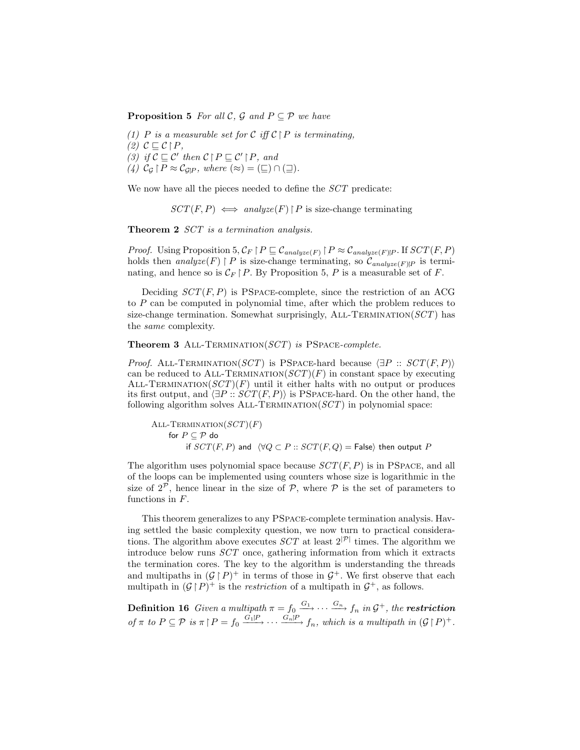**Proposition 5** For all C, G and  $P \subseteq \mathcal{P}$  we have

(1) P is a measurable set for C iff  $\mathcal{C} \restriction P$  is terminating, (2)  $C \sqsubseteq C \upharpoonright P$ , (3) if  $C \sqsubseteq C'$  then  $C \upharpoonright P \sqsubseteq C' \upharpoonright P$ , and (4)  $\mathcal{C}_{\mathcal{G}}\upharpoonright P\approx\mathcal{C}_{\mathcal{G}\upharpoonright P}$ , where  $(\approx)=(\sqsubseteq)\cap(\sqsupseteq).$ 

We now have all the pieces needed to define the  $SCT$  predicate:

 $SCT(F, P) \iff analyze(F) \upharpoonright P$  is size-change terminating

Theorem 2 SCT is a termination analysis.

*Proof.* Using Proposition 5,  $\mathcal{C}_F \upharpoonright P \sqsubseteq \mathcal{C}_{analyze(F)} \upharpoonright P \approx \mathcal{C}_{analyze(F)P}$ . If  $SCT(F, P)$ holds then analyze(F)  $\mid P \text{ is size-change terminating, so } C_{analyze(F) \mid P}$  is terminating, and hence so is  $\mathcal{C}_F \upharpoonright P$ . By Proposition 5, P is a measurable set of F.

Deciding  $SCT(F, P)$  is PSPACE-complete, since the restriction of an ACG to P can be computed in polynomial time, after which the problem reduces to size-change termination. Somewhat surprisingly, ALL-TERMINATION( $SCT$ ) has the same complexity.

**Theorem 3** ALL-TERMINATION( $SCT$ ) is PSPACE-complete.

*Proof.* ALL-TERMINATION(SCT) is PSPACE-hard because  $\langle \exists P :: SCT(F, P) \rangle$ can be reduced to ALL-TERMINATION( $SCT$ )(F) in constant space by executing ALL-TERMINATION( $SCT$ )(F) until it either halts with no output or produces its first output, and  $\langle \exists P :: SCT(F, P) \rangle$  is PSPACE-hard. On the other hand, the following algorithm solves ALL-TERMINATION( $SCT$ ) in polynomial space:

$$
ALL-TERMINATION(SCT)(F)
$$
  
for  $P \subseteq P$  do  
if  $SCT(F, P)$  and  $\langle \forall Q \subseteq P :: SCT(F, Q) = \text{False} \rangle$  then output P

The algorithm uses polynomial space because  $SCT(F, P)$  is in PSPACE, and all of the loops can be implemented using counters whose size is logarithmic in the size of  $2^{\mathcal{P}}$ , hence linear in the size of  $\mathcal{P}$ , where  $\mathcal{P}$  is the set of parameters to functions in  $F$ .

This theorem generalizes to any PSpace-complete termination analysis. Having settled the basic complexity question, we now turn to practical considerations. The algorithm above executes  $SCT$  at least  $2^{|\mathcal{P}|}$  times. The algorithm we introduce below runs SCT once, gathering information from which it extracts the termination cores. The key to the algorithm is understanding the threads and multipaths in  $(\mathcal{G} \upharpoonright P)^+$  in terms of those in  $\mathcal{G}^+$ . We first observe that each multipath in  $(\mathcal{G} \upharpoonright P)^+$  is the *restriction* of a multipath in  $\mathcal{G}^+$ , as follows.

**Definition 16** Given a multipath  $\pi = f_0 \stackrel{G_1}{\longrightarrow} \cdots \stackrel{G_n}{\longrightarrow} f_n$  in  $\mathcal{G}^+$ , the **restriction** of  $\pi$  to  $P \subseteq \mathcal{P}$  is  $\pi \nmid P = f_0 \xrightarrow{\tilde{G}_1 | P} \cdots \xrightarrow{\tilde{G}_n | P} f_n$ , which is a multipath in  $(\mathcal{G} \nmid P)^+$ .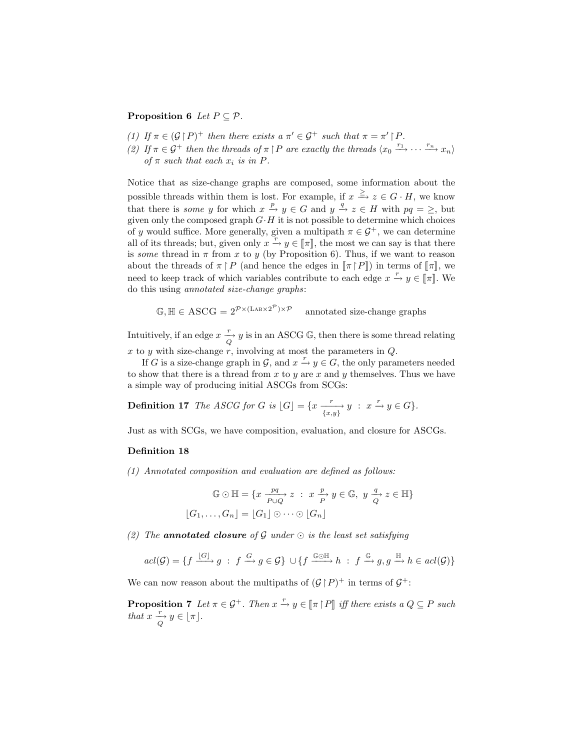#### **Proposition 6** Let  $P \subseteq \mathcal{P}$ .

- (1) If  $\pi \in (\mathcal{G} \upharpoonright P)^+$  then there exists  $a \pi' \in \mathcal{G}^+$  such that  $\pi = \pi' \upharpoonright P$ .
- (2) If  $\pi \in \mathcal{G}^+$  then the threads of  $\pi \nmid P$  are exactly the threads  $\langle x_0 \stackrel{r_1}{\longrightarrow} \cdots \stackrel{r_n}{\longrightarrow} x_n \rangle$ of  $\pi$  such that each  $x_i$  is in P.

Notice that as size-change graphs are composed, some information about the possible threads within them is lost. For example, if  $x \stackrel{\geq}{\to} z \in G \cdot H$ , we know that there is *some y* for which  $x \stackrel{p}{\to} y \in G$  and  $y \stackrel{q}{\to} z \in H$  with  $pq = \geq$ , but given only the composed graph  $G \cdot H$  it is not possible to determine which choices of y would suffice. More generally, given a multipath  $\pi \in \mathcal{G}^+$ , we can determine all of its threads; but, given only  $x \xrightarrow{r} y \in [\pi]$ , the most we can say is that there is some thread in  $\pi$  from x to y (by Proposition 6). Thus, if we want to reason about the threads of  $\pi \upharpoonright P$  (and hence the edges in  $\llbracket \pi \upharpoonright P \rrbracket$ ) in terms of  $\llbracket \pi \rrbracket$ , we need to keep track of which variables contribute to each edge  $x \stackrel{r}{\rightarrow} y \in [\![\pi]\!]$ . We do this using annotated size-change graphs:

 $\mathbb{G}, \mathbb{H} \in \text{ASCG} = 2^{\mathcal{P} \times (\text{LAB} \times 2^{\mathcal{P}}) \times \mathcal{P}}$ annotated size-change graphs

Intuitively, if an edge  $x \frac{r}{Q}$  y is in an ASCG G, then there is some thread relating x to y with size-change  $r$ , involving at most the parameters in  $Q$ .

If G is a size-change graph in  $\mathcal{G}$ , and  $x \stackrel{r}{\rightarrow} y \in G$ , the only parameters needed to show that there is a thread from  $x$  to  $y$  are  $x$  and  $y$  themselves. Thus we have a simple way of producing initial ASCGs from SCGs:

**Definition 17** The ASCG for G is  $[G] = \{x \xrightarrow[\{x,y\}]{r} y : x \xrightarrow[\{y,y\}]{r} y \in G\}.$ 

Just as with SCGs, we have composition, evaluation, and closure for ASCGs.

#### Definition 18

(1) Annotated composition and evaluation are defined as follows:

$$
\mathbb{G} \odot \mathbb{H} = \{x \xrightarrow{pq} z : x \xrightarrow{p} y \in \mathbb{G}, y \xrightarrow{q} z \in \mathbb{H}\}
$$

$$
\lfloor G_1, \dots, G_n \rfloor = \lfloor G_1 \rfloor \odot \dots \odot \lfloor G_n \rfloor
$$

(2) The **annotated closure** of G under  $\odot$  is the least set satisfying

$$
acl(G) = \{ f \xrightarrow{\lfloor G \rfloor} g : f \xrightarrow{G} g \in \mathcal{G} \} \cup \{ f \xrightarrow{\mathbb{G} \odot \mathbb{H}} h : f \xrightarrow{\mathbb{G}} g, g \xrightarrow{\mathbb{H}} h \in acl(\mathcal{G}) \}
$$

We can now reason about the multipaths of  $(\mathcal{G} \nmid P)^+$  in terms of  $\mathcal{G}^+$ :

**Proposition 7** Let  $\pi \in \mathcal{G}^+$ . Then  $x \xrightarrow{r} y \in [\pi \mid P]$  iff there exists a  $Q \subseteq P$  such that  $x \xrightarrow{r} y \in [-1, 1]$ that  $x \xrightarrow[Q]{} y \in [\pi]$ .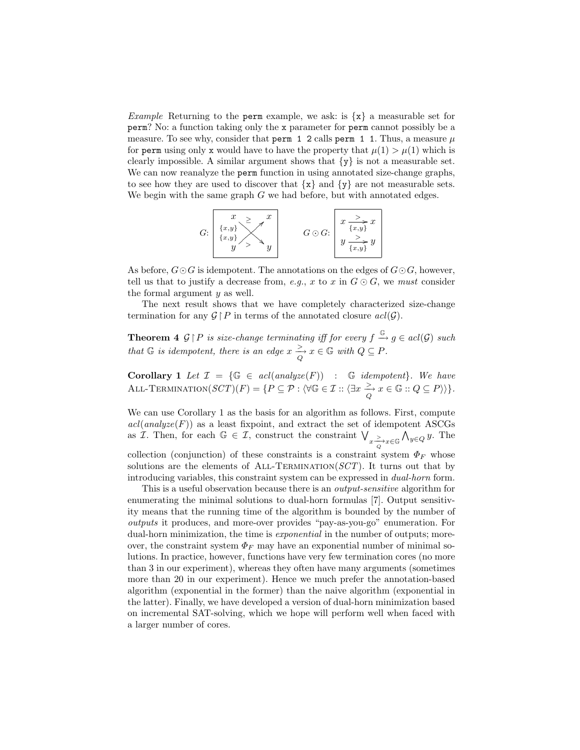*Example* Returning to the perm example, we ask: is  $\{x\}$  a measurable set for perm? No: a function taking only the x parameter for perm cannot possibly be a measure. To see why, consider that perm 1 2 calls perm 1 1. Thus, a measure  $\mu$ for perm using only x would have to have the property that  $\mu(1) > \mu(1)$  which is clearly impossible. A similar argument shows that  $\{y\}$  is not a measurable set. We can now reanalyze the perm function in using annotated size-change graphs, to see how they are used to discover that  $\{x\}$  and  $\{y\}$  are not measurable sets. We begin with the same graph  $G$  we had before, but with annotated edges.



As before,  $G \odot G$  is idempotent. The annotations on the edges of  $G \odot G$ , however, tell us that to justify a decrease from, e.g., x to x in  $G \odot G$ , we must consider the formal argument  $y$  as well.

The next result shows that we have completely characterized size-change termination for any  $\mathcal{G} \upharpoonright P$  in terms of the annotated closure  $acl(\mathcal{G})$ .

**Theorem 4**  $\mathcal{G} \upharpoonright P$  is size-change terminating iff for every  $f \stackrel{\mathbb{G}}{\rightarrow} g \in \mathfrak{acl}(\mathcal{G})$  such that  $\mathbb G$  is idempotent, there is an edge  $x \frac{\geq}{Q} x \in \mathbb G$  with  $Q \subseteq P$ .

**Corollary 1** Let  $\mathcal{I} = \{ \mathbb{G} \in \text{acl}(\text{analyze}(F)) : \mathbb{G} \text{ idempotent} \}.$  We have ALL-TERMINATION $(SCT)(F) = \{ P \subseteq \mathcal{P} : \langle \forall \mathbb{G} \in \mathcal{I} : : \langle \exists x \frac{\geq}{Q} x \in \mathbb{G} : : Q \subseteq P \rangle \rangle \}.$ 

We can use Corollary 1 as the basis for an algorithm as follows. First, compute  $\mathit{acl}(\mathit{analyze}(F))$  as a least fixpoint, and extract the set of idempotent ASCGs as *I*. Then, for each  $\mathbb{G} \in \mathcal{I}$ , construct the constraint  $\bigvee_{x \geq 0} \sum_{q \in \mathbb{G}} \bigwedge_{y \in Q} y$ . The

collection (conjunction) of these constraints is a constraint system  $\Phi_F$  whose solutions are the elements of ALL-TERMINATION( $SCT$ ). It turns out that by introducing variables, this constraint system can be expressed in dual-horn form.

This is a useful observation because there is an output-sensitive algorithm for enumerating the minimal solutions to dual-horn formulas [7]. Output sensitivity means that the running time of the algorithm is bounded by the number of outputs it produces, and more-over provides "pay-as-you-go" enumeration. For dual-horn minimization, the time is *exponential* in the number of outputs; moreover, the constraint system  $\Phi_F$  may have an exponential number of minimal solutions. In practice, however, functions have very few termination cores (no more than 3 in our experiment), whereas they often have many arguments (sometimes more than 20 in our experiment). Hence we much prefer the annotation-based algorithm (exponential in the former) than the naive algorithm (exponential in the latter). Finally, we have developed a version of dual-horn minimization based on incremental SAT-solving, which we hope will perform well when faced with a larger number of cores.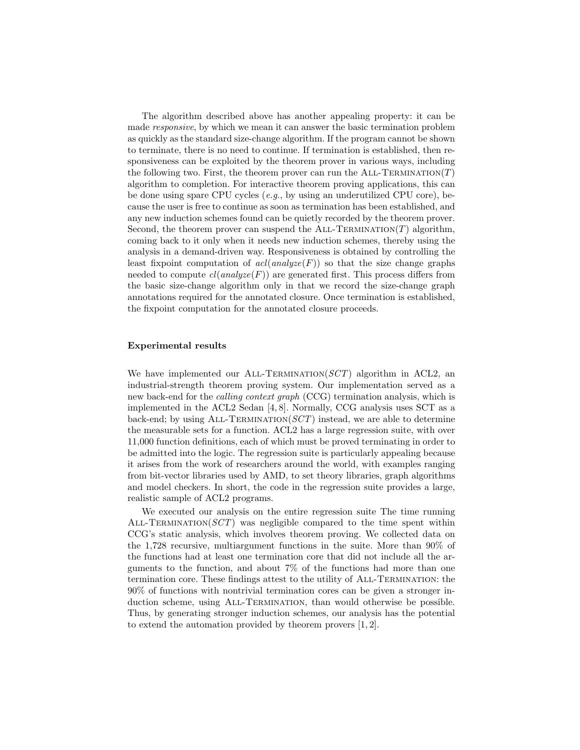The algorithm described above has another appealing property: it can be made responsive, by which we mean it can answer the basic termination problem as quickly as the standard size-change algorithm. If the program cannot be shown to terminate, there is no need to continue. If termination is established, then responsiveness can be exploited by the theorem prover in various ways, including the following two. First, the theorem prover can run the ALL-TERMINATION( $T$ ) algorithm to completion. For interactive theorem proving applications, this can be done using spare CPU cycles  $(e.g.,\) by using an underutilized CPU core), be$ cause the user is free to continue as soon as termination has been established, and any new induction schemes found can be quietly recorded by the theorem prover. Second, the theorem prover can suspend the ALL-TERMINATION(T) algorithm, coming back to it only when it needs new induction schemes, thereby using the analysis in a demand-driven way. Responsiveness is obtained by controlling the least fixpoint computation of  $\operatorname{acl}(\operatorname{analyze}(F))$  so that the size change graphs needed to compute  $cl(analyze(F))$  are generated first. This process differs from the basic size-change algorithm only in that we record the size-change graph annotations required for the annotated closure. Once termination is established, the fixpoint computation for the annotated closure proceeds.

#### Experimental results

We have implemented our ALL-TERMINATION( $SCT$ ) algorithm in ACL2, an industrial-strength theorem proving system. Our implementation served as a new back-end for the *calling context graph* (CCG) termination analysis, which is implemented in the ACL2 Sedan [4, 8]. Normally, CCG analysis uses SCT as a back-end; by using  $ALL-TERMINATION(SCT)$  instead, we are able to determine the measurable sets for a function. ACL2 has a large regression suite, with over 11,000 function definitions, each of which must be proved terminating in order to be admitted into the logic. The regression suite is particularly appealing because it arises from the work of researchers around the world, with examples ranging from bit-vector libraries used by AMD, to set theory libraries, graph algorithms and model checkers. In short, the code in the regression suite provides a large, realistic sample of ACL2 programs.

We executed our analysis on the entire regression suite The time running ALL-TERMINATION( $SCT$ ) was negligible compared to the time spent within CCG's static analysis, which involves theorem proving. We collected data on the 1,728 recursive, multiargument functions in the suite. More than 90% of the functions had at least one termination core that did not include all the arguments to the function, and about 7% of the functions had more than one termination core. These findings attest to the utility of All-Termination: the 90% of functions with nontrivial termination cores can be given a stronger induction scheme, using All-Termination, than would otherwise be possible. Thus, by generating stronger induction schemes, our analysis has the potential to extend the automation provided by theorem provers [1, 2].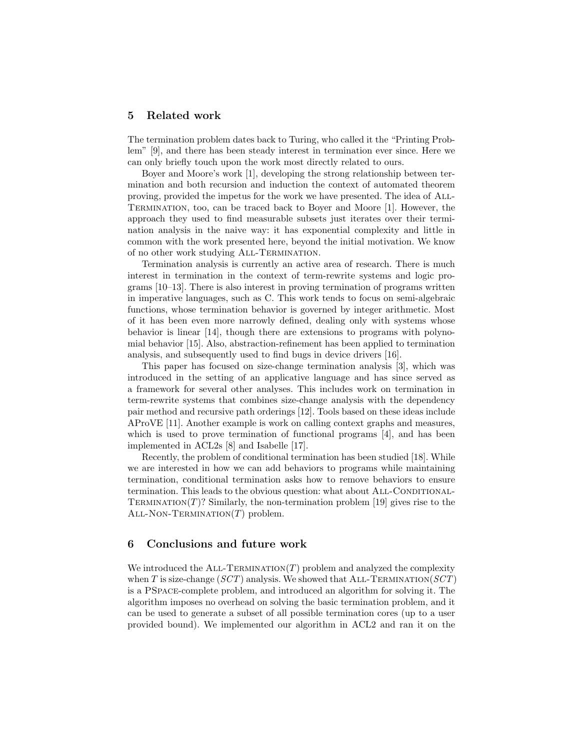#### 5 Related work

The termination problem dates back to Turing, who called it the "Printing Problem" [9], and there has been steady interest in termination ever since. Here we can only briefly touch upon the work most directly related to ours.

Boyer and Moore's work [1], developing the strong relationship between termination and both recursion and induction the context of automated theorem proving, provided the impetus for the work we have presented. The idea of All-Termination, too, can be traced back to Boyer and Moore [1]. However, the approach they used to find measurable subsets just iterates over their termination analysis in the naive way: it has exponential complexity and little in common with the work presented here, beyond the initial motivation. We know of no other work studying All-Termination.

Termination analysis is currently an active area of research. There is much interest in termination in the context of term-rewrite systems and logic programs [10–13]. There is also interest in proving termination of programs written in imperative languages, such as C. This work tends to focus on semi-algebraic functions, whose termination behavior is governed by integer arithmetic. Most of it has been even more narrowly defined, dealing only with systems whose behavior is linear [14], though there are extensions to programs with polynomial behavior [15]. Also, abstraction-refinement has been applied to termination analysis, and subsequently used to find bugs in device drivers [16].

This paper has focused on size-change termination analysis [3], which was introduced in the setting of an applicative language and has since served as a framework for several other analyses. This includes work on termination in term-rewrite systems that combines size-change analysis with the dependency pair method and recursive path orderings [12]. Tools based on these ideas include AProVE [11]. Another example is work on calling context graphs and measures, which is used to prove termination of functional programs [4], and has been implemented in ACL2s [8] and Isabelle [17].

Recently, the problem of conditional termination has been studied [18]. While we are interested in how we can add behaviors to programs while maintaining termination, conditional termination asks how to remove behaviors to ensure termination. This leads to the obvious question: what about ALL-CONDITIONAL-TERMINATION(T)? Similarly, the non-termination problem [19] gives rise to the ALL-NON-TERMINATION $(T)$  problem.

# 6 Conclusions and future work

We introduced the ALL-TERMINATION( $T$ ) problem and analyzed the complexity when T is size-change  $(SCT)$  analysis. We showed that ALL-TERMINATION( $SCT$ ) is a PSpace-complete problem, and introduced an algorithm for solving it. The algorithm imposes no overhead on solving the basic termination problem, and it can be used to generate a subset of all possible termination cores (up to a user provided bound). We implemented our algorithm in ACL2 and ran it on the